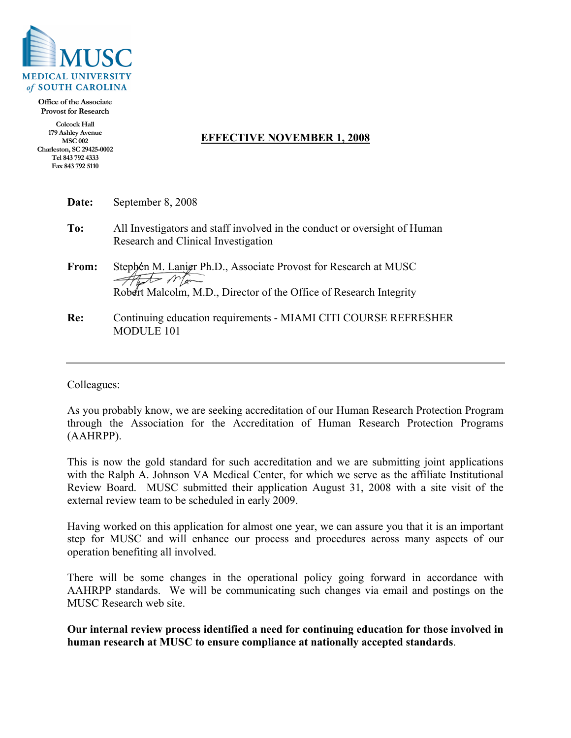

**Office of the Associate Provost for Research**

**Colcock Hall 179 Ashley Avenue MSC 002 Charleston, SC 29425-0002 Tel 843 792 4333 Fax 843 792 5110**

## **EFFECTIVE NOVEMBER 1, 2008**

| Date: | September 8, 2008                                                                                                                     |
|-------|---------------------------------------------------------------------------------------------------------------------------------------|
| To:   | All Investigators and staff involved in the conduct or oversight of Human<br>Research and Clinical Investigation                      |
| From: | Stephen M. Lanier Ph.D., Associate Provost for Research at MUSC<br>Robert Malcolm, M.D., Director of the Office of Research Integrity |
| Re:   | Continuing education requirements - MIAMI CITI COURSE REFRESHER<br><b>MODULE 101</b>                                                  |

Colleagues:

As you probably know, we are seeking accreditation of our Human Research Protection Program through the Association for the Accreditation of Human Research Protection Programs (AAHRPP).

This is now the gold standard for such accreditation and we are submitting joint applications with the Ralph A. Johnson VA Medical Center, for which we serve as the affiliate Institutional Review Board. MUSC submitted their application August 31, 2008 with a site visit of the external review team to be scheduled in early 2009.

Having worked on this application for almost one year, we can assure you that it is an important step for MUSC and will enhance our process and procedures across many aspects of our operation benefiting all involved.

There will be some changes in the operational policy going forward in accordance with AAHRPP standards. We will be communicating such changes via email and postings on the MUSC Research web site.

**Our internal review process identified a need for continuing education for those involved in human research at MUSC to ensure compliance at nationally accepted standards**.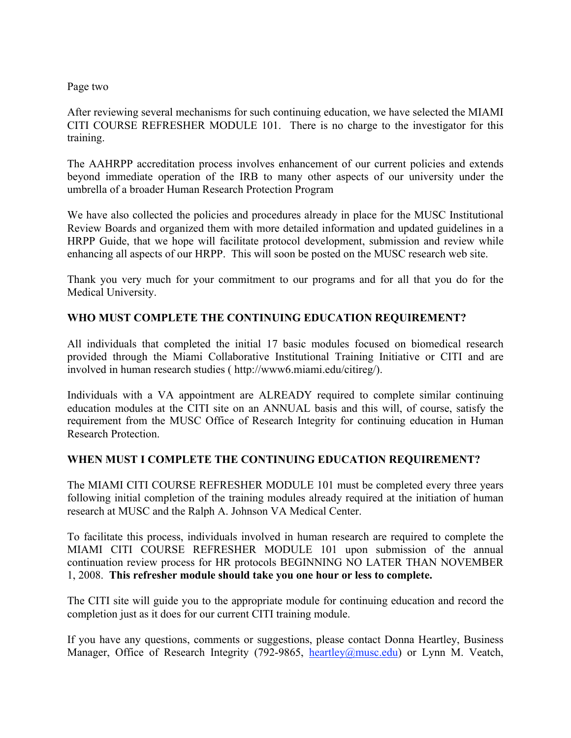## Page two

After reviewing several mechanisms for such continuing education, we have selected the MIAMI CITI COURSE REFRESHER MODULE 101. There is no charge to the investigator for this training.

The AAHRPP accreditation process involves enhancement of our current policies and extends beyond immediate operation of the IRB to many other aspects of our university under the umbrella of a broader Human Research Protection Program

We have also collected the policies and procedures already in place for the MUSC Institutional Review Boards and organized them with more detailed information and updated guidelines in a HRPP Guide, that we hope will facilitate protocol development, submission and review while enhancing all aspects of our HRPP. This will soon be posted on the MUSC research web site.

Thank you very much for your commitment to our programs and for all that you do for the Medical University.

## **WHO MUST COMPLETE THE CONTINUING EDUCATION REQUIREMENT?**

All individuals that completed the initial 17 basic modules focused on biomedical research provided through the Miami Collaborative Institutional Training Initiative or CITI and are involved in human research studies ( http://www6.miami.edu/citireg/).

Individuals with a VA appointment are ALREADY required to complete similar continuing education modules at the CITI site on an ANNUAL basis and this will, of course, satisfy the requirement from the MUSC Office of Research Integrity for continuing education in Human Research Protection.

## **WHEN MUST I COMPLETE THE CONTINUING EDUCATION REQUIREMENT?**

The MIAMI CITI COURSE REFRESHER MODULE 101 must be completed every three years following initial completion of the training modules already required at the initiation of human research at MUSC and the Ralph A. Johnson VA Medical Center.

To facilitate this process, individuals involved in human research are required to complete the MIAMI CITI COURSE REFRESHER MODULE 101 upon submission of the annual continuation review process for HR protocols BEGINNING NO LATER THAN NOVEMBER 1, 2008. **This refresher module should take you one hour or less to complete.**

The CITI site will guide you to the appropriate module for continuing education and record the completion just as it does for our current CITI training module.

If you have any questions, comments or suggestions, please contact Donna Heartley, Business Manager, Office of Research Integrity (792-9865, heartley@musc.edu) or Lynn M. Veatch,